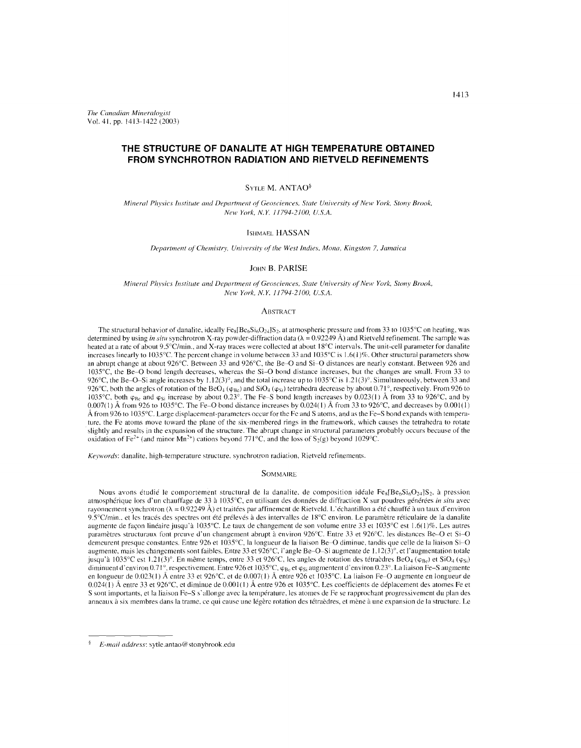*The Canadian Mineralogist* Vol. 41, pp. 1413-1422 (2003)

# **THE STRUCTURE OF DANALITE AT HIGH TEMPERATURE OBTAINED FROM SYNCHROTRON RADIATION AND RIETVELD REFINEMENTS**

## SYTLE M. ANTAO<sup>§</sup>

*Mineral Physics Illstitute and Department of Geosciences, State University of New York, StollY Brook, New York, N.Y. 11794-2100, U.S.A.*

## ISHMAEL HASSAN

*Department* of *Chemistry, University of the West Indies, Mona, Kingston 7, Jamaica* 

## JOHN B. PARISE

*Mineral Physics Institute and Department of Geosciences, State University of New York, Stony Brook, New York. N.Y. 1/794-2100, U.S.A.*

#### ABSTRACT

The structural behavior of danalite, ideally  $Fe_8[Be_6Si_0O_{24}]S_2$ , at atmospheric pressure and from 33 to 1035°C on heating, was determined by using *in situ* synchrotron X-ray powder-diffraction data ( $\lambda = 0.92249$  Å) and Rietveld refinement. The sample was heated at a rate of about *9.5°C/min.,* and X-ray traces were collected at about 18°C intervals. The unit-cell parameter for danalite increases linearly to 1035°C. The percent change in volume between 33 and 1035°C is 1.6(1)%. Other structural parameters show an abrupt change at about 926°C. Between 33 and 926°C, the Be-O and Si-O distances are nearly constant. Between 926 and 1035°C, the Be-O bond length decreases, whereas the Si-O bond distance increases, but the changes are small. From 33 to 926°C, the Be-O-Si angle increases by 1.12(3)°, and the total increase up to  $1035^{\circ}$ C is 1.21(3)°. Simultaneously, between 33 and 926°C, both the angles of rotation of the BeO<sub>4</sub> ( $\phi_{Bc}$ ) and SiO<sub>4</sub> ( $\phi_{Si}$ ) tetrahedra decrease by about 0.71°, respectively. From 926 to 1035°C, both  $\varphi_{\rm Be}$  and  $\varphi_{\rm Si}$  increase by about 0.23°. The Fe-S bond length increases by 0.023(1) Å from 33 to 926°C, and by  $0.007(1)$  Å from 926 to 1035°C. The Fe-O bond distance increases by  $0.024(1)$  Å from 33 to 926°C, and decreases by  $0.001(1)$ Å from 926 to 1035°C. Large displacement-parameters occur for the Fe and S atoms, and as the Fe-S bond expands with temperature. the Fe atoms move toward the plane of the six-membered rings in the framework, which causes the tetrahedra to rotate slightly and results in the expansion of the structure. The abrupt change in structural parameters probably occurs because of the oxidation of Fe<sup>2+</sup> (and minor Mn<sup>2+</sup>) cations beyond 771°C, and the loss of S<sub>2</sub>(g) beyond 1029°C.

*Keywords:* danalite, high-temperature structure, synchrotron radiation, Rietveld refinements.

#### **SOMMAIRE**

Nous avons étudié le comportement structural de la danalite, de composition idéale  $Fe_8[Be_6Si_6O_{24}]S_2$ , à pression atmosphérique lors d'un chauffage de 33 à 1035°C, en utilisant des données de diffraction X sur poudres générées *in situ* avec rayonnement synchrotron ( $\lambda = 0.92249$  A) et traitées par affinement de Rietveld. L'échantillon a été chauffé à un taux d'environnement synchrotron ( $\lambda = 0.92249$  A) et traitées par affinement de Rietveld. 9.5°C/min.. et les tracés des spectres ont été prélevés à des intervalles de 18°C environ. Le paramètre réticulaire de la danalite augmente de façon linéaire jusqu'à 1035°C. Le taux de changement de son volume entre 33 et 1035°C est 1.6(1)%. Les autres paramètres structuraux font preuve d'un changement abrupt à environ 926°C. Entre 33 et 926°C, les distances Be-O et Si-O demeurent presque constantes. Entre 926 et 1035°C, la longueur de la liaison Be-O diminue, tandis que celle de la liaison Si-O augmente, mais les changements sont faibles. Entre 33 et 926°C, I'angle Be-O-Si augmente de 1.12(3)°, et I'augmentation totale jusqu'à 1035°C est 1.21(3)°. En même temps, entre 33 et 926°C, les angles de rotation des tétracdres BeO<sub>4</sub> ( $\varphi_{Be}$ ) et SiO<sub>4</sub> ( $\varphi_{Si}$ ) diminuent d'environ 0.71°, respectivement. Entre 926 et 1035°C,  $\varphi_{Bc}$  et  $\varphi_{Si}$  augmentent d'environ 0.23°. La liaison Fe-S augmente en longueur de 0.023(1) A entre <sup>33</sup> et 926°C, et de 0.007(1) A entre <sup>926</sup> et 1035°C, La liaison Fe-O augmente en longueur de 0.024(I) Å entre 33 et 926°C, et diminue de 0.001(1) Å entre 926 et 1035°C. Les coefficients de déplacement des atomes Fe e S sont importants, et la liaison Fe-S s'allonge avec la temperature, les atomes de Fe se rapprochant progressivement du plan des anneaux à six membres dans la trame, ce qui cause une légère rotation des tétraèdres, et mène à une expansion de la structure. Le

*E-mail address:* sytle.antao@stonybrook.edu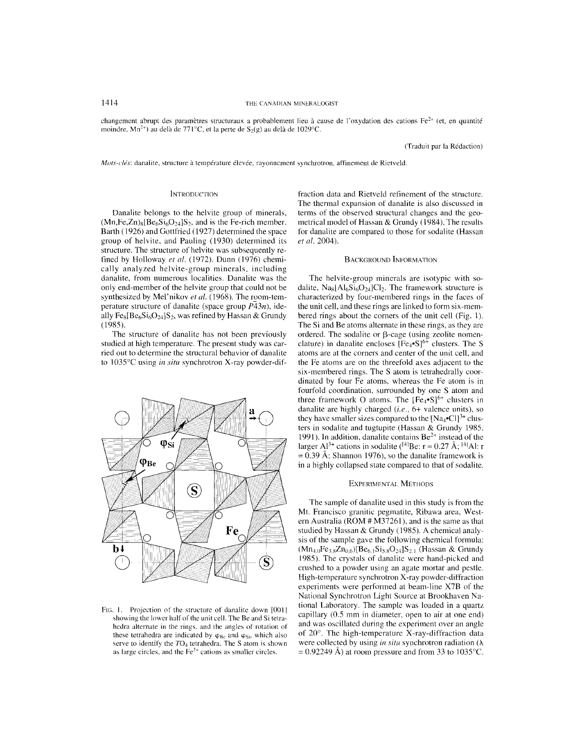1414 THE CANADIAN MINERALOGIST

changement abrupt des paramètres structuraux a probablement lieu à cause de l'oxydation des cations  $Fe^{2+}$  (et, en quantité moindre, Mn<sup>2+</sup>) au delà de 771°C, et la perte de S<sub>2</sub>(g) au delà de 1029°C.

(Traduit par la Redaction)

*Mots-clés:* danalite, structure à température élevée, rayonnement synchrotron, affinement de Rietveld.

#### **INTRODUCTION**

Danalite belongs to the helvite group of minerals,  $(Mn,Fe,Zn)_{8} [Be_{6}Si_{6}O_{24}]S_{2}$ , and is the Fe-rich member. Barth (1926) and Gottfried (1927) determined the space group of helvite, and Pauling (1930) determined its structure. The structure of helvite was subsequently refined by Holloway *et al.* (1972). Dunn (1976) chemically analyzed helvite-group minerals, including danalite, from numerous localities. Danalite was the only end-member of the helvite group that could not be synthesized by Mel'nikov et al. (1968). The room-temperature structure of danalite (space group *P43n),* ideally Fe<sub>8</sub>[Be<sub>6</sub>Si<sub>6</sub>O<sub>24</sub>]S<sub>2</sub>, was refined by Hassan & Grundy (1985).

The structure of danalite has not been previously studied at high temperature. The present study was carried out to determine the structural behavior of danalite to 1035°C using *in situ* synchrotron X-ray powder-dif-



F<sub>IG</sub>. 1. Projection of the structure of danalite down [0011] showing the lower half of the unit cell. The Be and Si tetrahedra alternate in the rings, and the angles of rotation of these tetrahedra are indicated by  $\varphi_{\text{Be}}$  and  $\varphi_{\text{Si}}$ , which also serve to identify the *T04* tetrahedra. The S atom is shown as large circles, and the  $Fe<sup>2+</sup>$  cations as smaller circles.

fraction data and Rietveld refinement of the structure. The thermal expansion of danalite is also discussed in terms of the observed structural changes and the geometrical model of Hassan & Grundy (1984). The results for danalite are compared to those for sodalite (Hassan *et al. 2004).*

## BACKGROUND INFORMATION

The helvite-group minerals are isotypic with sodalite,  $N_{8}$ [Al<sub>6</sub>Si<sub>6</sub>O<sub>24</sub>]Cl<sub>2</sub>. The framework structure is characterized by four-membered rings in the faces of the unit cell, and these rings are linked to form six-membered rings about the corners of the unit cell (Fig. I). The Si and Be atoms alternate in these rings, as they are ordered. The sodalite or  $\beta$ -cage (using zeolite nomenclature) in danalite encloses  $[Fe_4\text{-}S]^{6+}$  clusters. The S atoms are at the corners and center of the unit cell, and the Fe atoms are on the threefold axes adjacent to the six-membered rings. The S atom is tetrahedrally coordinated by four Fe atoms, whereas the Fe atom is in fourfold coordination, surrounded by one S atom and three framework O atoms. The  $[Fe_{4} \bullet S]^{6+}$  clusters in danalite are highly charged *(i.e.*, 6+ valence units), so they have smaller sizes compared to the  $[Na_4^{\bullet}Cl]^{3+}$  clusters in sodalite and tugtupite (Hassan & Grundy 1985, 1991). In addition, danalite contains Be<sup>2+</sup> instead of the larger Al<sup>3+</sup> cations in sodalite (<sup>141</sup>Be:  $r = 0.27 \text{ Å}$ ; <sup>141</sup>Al: r = 0.39 A; Shannon 1976), so the danalite framework is in a highly collapsed state compared to that of sodalite.

#### EXPERIMENTAL METHODS

The sample of danalite used in this study is from the Mt. Francisco granitic pegmatite, Ribawa area, Western Australia (ROM # M37261), and is the same as that studied by Hassan & Grundy (1985). A chemical analysis of the sample gave the following chemical formula:  $(Mn_{40}Fe_{38}Zn_{0.6})[Be_{61}Si_{58}O_{24}]S_{21}$  (Hassan & Grundy 1985). The crystals of danalite were hand-picked and crushed to a powder using an agate mortar and pestle. High-temperature synchrotron X-ray powder-diffraction experiments were performed at beam-line X7B of the National Synchrotron Light Source at Brookhaven National Laboratory. The sample was loaded in a quartz capillary (0.5 mm in diameter, open to air at one end) and was oscillated during the experiment over an angle of 20°. The high-temperature X-ray-diffraction data were collected by using *in situ* synchrotron radiation  $(\lambda)$  $= 0.92249$  Å) at room pressure and from 33 to 1035°C.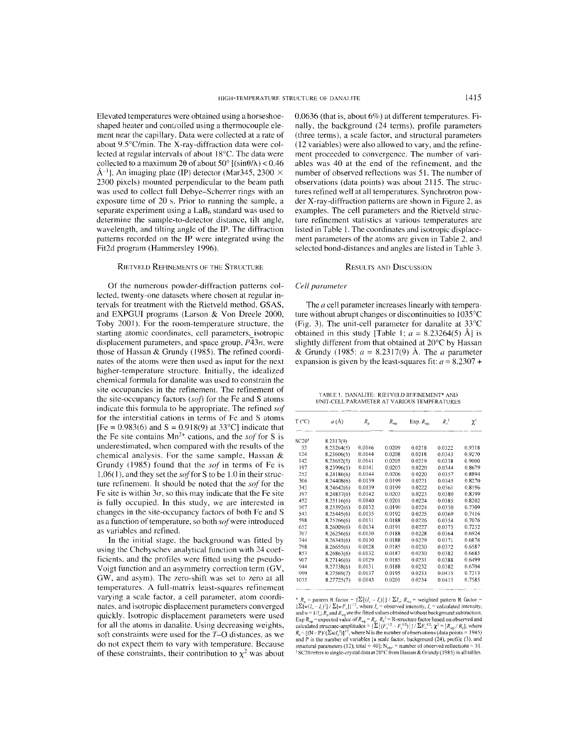Elevated temperatures were obtained using a horseshoeshaped heater and controlled using a thermocouple element near the capillary. Data were collected at a rate of about 9.5°C/min. The X-ray-diffraction data were collected at regular intervals of about 18°C. The data were collected to a maximum 2 $\theta$  of about 50°  $[(\sin \theta/\lambda)$  < 0.46  $\AA^{-1}$ l. An imaging plate (IP) detector (Mar345, 2300  $\times$ 2300 pixels) mounted perpendicular to the beam path was used to collect full Debye-Scherrer rings with an exposure time of 20 s. Prior to running the sample, a separate experiment using a  $LaB<sub>6</sub>$  standard was used to determine the sample-to-detector distance, tilt angle, wavelength, and tilting angle of the IP. The diffraction patterns recorded on the IP were integrated using the Fit2d program (Hammersley 1996).

#### RIETVELD REFINEMENTS OF THE STRUCTURE

Of the numerous powder-diffraction patterns collected, twenty-one datasets where chosen at regular intervals for treatment with the Rietveld method, GSAS, and EXPGUI programs (Larson & Von Dreele 2000, Toby 2001). For the room-temperature structure, the starting atomic coordinates, cell parameters, isotropic displacement parameters, and space group, *P43n,* were those of Hassan & Grundy (1985). The refined coordinates of the atoms were then used as input for the next higher-temperature structure. Initially, the idealized chemical formula for danalite was used to constrain the site occupancies in the refinement. The refinement of the site-occupancy factors *(sof)* for the Fe and S atoms indicate this formula to be appropriate. The refined *sof* for the interstitial cations in terms of Fe and S atoms  $[Fe = 0.983(6)$  and  $S = 0.918(9)$  at 33°C] indicate that the Fe site contains  $Mn^{2+}$  cations, and the *sof* for S is underestimated, when compared with the results of the chemical analysis. For the same sample, Hassan & Grundy (1985) found that the *sof* in terms of Fe is 1.06(1), and they set the *sof* for S to be 1.0 in their struc ture refinement. It should be noted that the *sof* for the Fe site is within  $3\sigma$ , so this may indicate that the Fe site is fully occupied. In this study, we are interested in changes in the site-occupancy factors of both Fe and S as a function of temperature, so both  $\mathfrak{so}$ f were introduced as variables and refined.

In the initial stage, the background was fitted by using the Chebyschev analytical function with 24 coefficients, and the profiles were fitted using the pseudo-Voigt function and an asymmetry correction term (GV, GW, and asym). The zero-shift was set to zero at all temperatures. A full-matrix least-squares refinement varying a scale factor, a cell parameter, atom coordinates, and isotropic displacement parameters converged quickly. Isotropic displacement parameters were used for all the atoms in danalite. Using decreasing weights, soft constraints were used for the *T-O* distances, as we do not expect them to vary with temperature. Because of these constraints, their contribution to  $\chi^2$  was about 0.0636 (that is, about 6%) at different temperatures. Finally, the background (24 terms), profile parameters (three terms), a scale factor, and structural parameters (12 variables) were also allowed to vary, and the refinement proceeded to convergence. The number of variabIes was 40 at the end of the refinement, and the number of observed reflections was 51. The number of observations (data points) was about 2115. The structures refined well at all temperatures. Synchrotron powder X-ray-diffraction patterns are shown in Figure 2, as examples. The cell parameters and the Rietveld structure refinement statistics at various temperatures are listed in Table I. The coordinates and isotropic displacement parameters of the atoms are given in Table 2, and selected bond-distances and angles are listed in Table 3.

#### RESULTS AND DISCUSSION

## *Cell parameter*

The *a* cell parameter increases linearly with temperature without abrupt changes or discontinuities to 1035°C (Fig. 3). The unit-cell parameter for danalite at 33°C obtained in this study [Table 1;  $a = 8.23264(5)$  Å] is slightly different from that obtained at 20°C by Hassan & Grundy (1985:  $a = 8.2317(9)$  Å. The *a* parameter expansion is given by the least-squares fit:  $a = 8.2307 +$ 

TABI.E 1. DANALlTE: RIETVEI.D REFINEMENT' AND UNIT-CELL PARAMETER AT VARIOUS TEMPERATURES

| $T$ (°C) | $a(\text{\AA})$ | $R_{n}$ | $R_{\rm{wa}}$ | Exp. $R_{wr}$ | $R_{\scriptscriptstyle\rm F}{}^2$ | $\chi^2$ |
|----------|-----------------|---------|---------------|---------------|-----------------------------------|----------|
| SC20®    | 8.2317(9)       |         |               |               |                                   |          |
| 33       | 8.23264(5)      | 0.0146  | 0.0209        | 0.0218        | 0.0322                            | 0.9318   |
| 124      | 8.23606(5)      | 0.0144  | 0.0208        | 0.0218        | 0.0343                            | 0.9270   |
| 142      | 8.23652(5)      | 0.0141  | 0.0205        | 0.0219        | 0.0338                            | 0.9000   |
| 197      | 8.23996(5)      | 0.0141  | 0.0203        | 0.0220        | 0.0344                            | 0.8679   |
| 252      | 8.24186(6)      | 0.0144  | 0.0206        | 0.0220        | 0.0357                            | 0.8894   |
| 306      | 8.24408(6)      | 0.0139  | 0.0199        | 0.0221        | 0.0345                            | 0.8270   |
| 343      | 8.24642(6)      | 0.0139  | 0.0199        | 0.0222        | 0.0361                            | 0.8196   |
| 397      | 8.24837(6)      | 0.0142  | 0.0203        | 0.0223        | 0.0380                            | 0.8399   |
| 452      | 8.25116(6)      | 0.0140  | 0.0201        | 0.0224        | 0.0385                            | 0.8202   |
| 507      | 8.25392(6)      | 0.0132  | 0.0190        | 0.0224        | 0.0350                            | 0.7309   |
| 543      | 8.25445(6)      | 0.0135  | 0.0192        | 0.0225        | 0.0369                            | 0.7416   |
| 598      | 8.25766(6)      | 0.0131  | 0.0188        | 0.0226        | 0.0354                            | 0.7076   |
| 652      | 8.26009(6)      | 0.0134  | 0.0191        | 0.0227        | 0.0373                            | 0.7232   |
| 707      | 8.26256(6)      | 0.0130  | 0.0188        | 0.0228        | 0.0364                            | 0.6924   |
| 744      | 8.26341(6)      | 0.0130  | 0.0188        | 0.0229        | 0.0371                            | 0.6876   |
| 798      | 8.26655(6)      | 0.0128  | 0.0185        | 0.0230        | 0.0372                            | 0.6587   |
| 853      | 8.26863(6)      | 0.0132  | 0.0187        | 0.0230        | 0.0382                            | 0.6685   |
| 907      | 8.27146(6)      | 0.0129  | 0.0185        | 0.0231        | 0.0388                            | 0.6499   |
| 944      | 8.27338(6)      | 0.0131  | 0.0188        | 0.0232        | 0.0382                            | 0.6704   |
| 999      | 8.27569(7)      | 0.0137  | 0.0195        | 0.0233        | 0.0415                            | 0.7213   |
| 1035     | 8.27725(7)      | 0.0143  | 0.0201        | 0.0234        | 0.0413                            | 0.7585   |
|          |                 |         |               |               |                                   |          |

<sup>\*</sup>  $R_p$  = pattern R factor = { $\Sigma$ ]( $l_q - l_q$ )] | /  $\Sigma l_{qs}$ ,  $R_{np}$  = weighted pattern R factor = { $\Sigma$ ]( $w(l_q - l_q)^2$ ] /  $\Sigma$ ]( $wl_q^2$ ])<sup>1/2</sup>, where  $I_q$  = observed intensity,  $I_q$  = calculated intensity, and  $w = 1/l_{qs}$ ,  $R$ and P is the number of variables  $\{a\}$  scale factor, background (24), profile (3), and structural parameters (12); total ≈ 40]; N<sub>obs</sub>. = number of observed reflections = 51.<br><sup>§</sup> SC20 refers to single-crystal data at 20°C from Hassan & Grundy (1985) in all tables.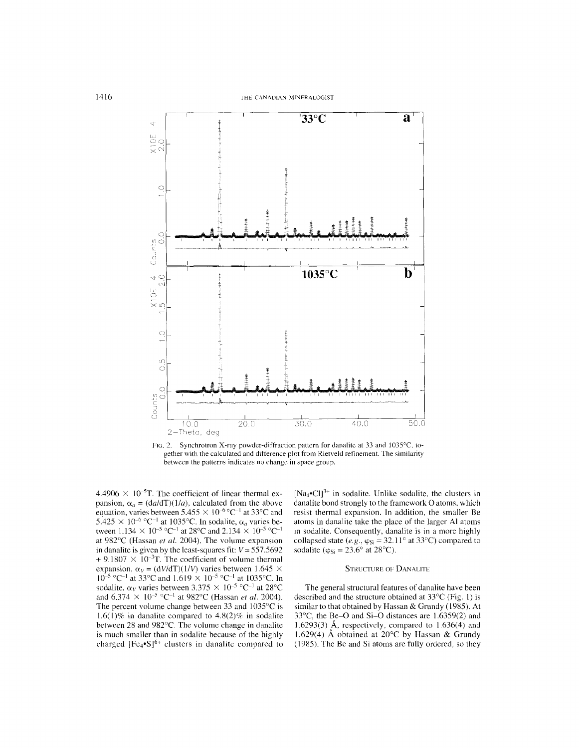

FIG. 2. Synchrotron X-ray powder-diffraction pattern for danalite at 33 and 1035°C, together with the calculated and difference plot from Rietveld refinement. The similarity between the patterns indicates no change in space group.

4.4906  $\times$  10<sup>-5</sup>T. The coefficient of linear thermal expansion,  $\alpha_a = (da/dT)(1/a)$ , calculated from the above equation, varies between  $5.455 \times 10^{-6}$  °C<sup>-1</sup> at 33°C and 5.425  $\times$  10<sup>-6</sup> °C<sup>-1</sup> at 1035°C. In sodalite,  $\alpha_a$  varies between  $1.134 \times 10^{-5}$  °C<sup>-1</sup> at 28°C and 2.134  $\times 10^{-5}$  °C<sup>-1</sup> at 982°C (Hassan et al. 2004). The volume expansion in danalite is given by the least-squares fit:  $V = 557.5692$  $+9.1807 \times 10^{-3}$ T. The coefficient of volume thermal expansion,  $\alpha_V = (dV/dT)(1/V)$  varies between 1.645  $\times$  $10^{-5}$  °C<sup>-1</sup> at 33°C and 1.619  $\times$  10<sup>-5</sup> °C<sup>-1</sup> at 1035°C. In sodalite,  $\alpha_V$  varies between 3.375  $\times$  10<sup>-5</sup> °C<sup>-1</sup> at 28°C and  $6.374 \times 10^{-5}$  °C<sup>-1</sup> at 982°C (Hassan *et al.* 2004). The percent volume change between 33 and  $1035^{\circ}$ C is 1.6(1)% in danalite compared to  $4.8(2)\%$  in sodalite between 28 and 982°C. The volume change in danalite is much smaller than in sodalite because of the highly charged  $[Fe_{4} \cdot S]^{6+}$  clusters in danalite compared to [Na<sub>4</sub>•Cl]<sup>3+</sup> in sodalite. Unlike sodalite, the clusters in danalite bond strongly to the framework O atoms, which resist thermal expansion. In addition, the smaller Be atoms in danalite take the place of the larger Al atoms in sodalite. Consequently, danalite is in a more highly collapsed state (e.g.,  $\varphi_{Si} = 32.11^{\circ}$  at 33°C) compared to sodalite ( $\varphi_{Si} = 23.6^{\circ}$  at 28°C).

#### **STRUCTURE OF DANALITE**

The general structural features of danalite have been described and the structure obtained at  $33^{\circ}$ C (Fig. 1) is similar to that obtained by Hassan & Grundy (1985). At 33°C, the Be-O and Si-O distances are 1.6359(2) and 1.6293(3) Å, respectively, compared to  $1.636(4)$  and 1.629(4) Å obtained at 20°C by Hassan & Grundy (1985). The Be and Si atoms are fully ordered, so they

1416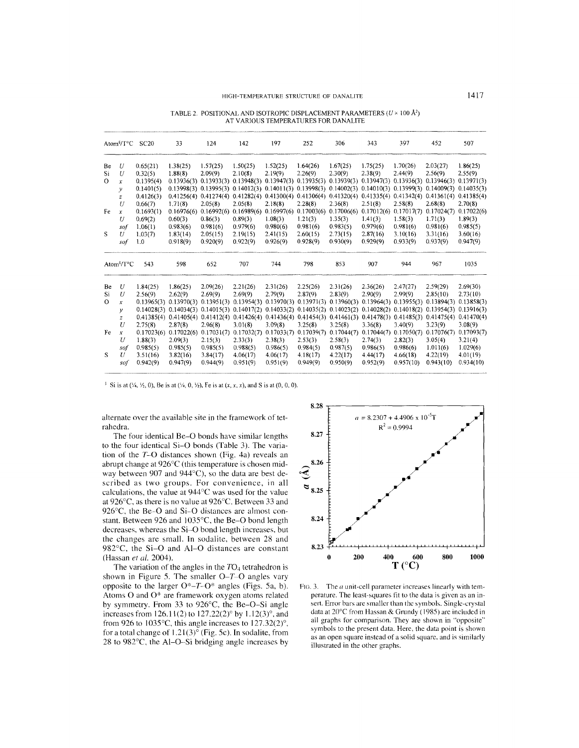TABLE 2. POSITIONAL AND ISOTROPIC DISPLACEMENT PARAMETERS *(U* x 100 *N)* AT VARIOUS TEMPERATURES FOR DANALITE

|          | Atom <sup>§</sup> /T <sup>o</sup> C | SC20       | 33                        | 124                       | 142                                                                                                                               | 197        | 252        | 306                                                                           | 343                                                 | 397        | 452        | 507        |
|----------|-------------------------------------|------------|---------------------------|---------------------------|-----------------------------------------------------------------------------------------------------------------------------------|------------|------------|-------------------------------------------------------------------------------|-----------------------------------------------------|------------|------------|------------|
| Be       | U                                   | 0.65(21)   | 1.38(25)                  | 1.57(25)                  | 1.50(25)                                                                                                                          | 1.52(25)   | 1.64(26)   | 1.67(25)                                                                      | 1.75(25)                                            | 1.70(26)   | 2.03(27)   | 1.86(25)   |
| Si       | U                                   | 0.32(5)    | 1.88(8)                   | 2.09(9)                   | 2.10(8)                                                                                                                           | 2.19(9)    | 2.26(9)    | 2.30(9)                                                                       | 2.38(9)                                             | 2.44(9)    | 2.56(9)    | 2.55(9)    |
| $\Omega$ | x                                   | 0.1395(4)  | 0.13936(3)                | 0.13933(3)                | 0.13948(3)                                                                                                                        | 0.13947(3) | 0.13935(3) | 0.13939(3)                                                                    | 0.13947(3)                                          | 0.13936(3) | 0.13946(3) | 0.13971(3) |
|          | ν                                   | 0.1401(5)  |                           |                           | $0.13998(3)$ $0.13995(3)$ $0.14012(3)$ $0.14011(3)$ $0.13998(3)$ $0.14002(3)$ $0.14010(3)$ $0.13999(3)$ $0.14009(3)$ $0.14035(3)$ |            |            |                                                                               |                                                     |            |            |            |
|          | $\boldsymbol{z}$                    | 0.4126(3)  |                           |                           | $0.41256(4)$ $0.41274(4)$ $0.41282(4)$ $0.41300(4)$                                                                               |            |            | $0.41306(4)$ $0.41320(4)$ $0.41335(4)$ $0.41342(4)$ $0.41361(4)$ $0.41385(4)$ |                                                     |            |            |            |
|          | U                                   | 0.66(7)    | 1.71(8)                   | 2.05(8)                   | 2.05(8)                                                                                                                           | 2.18(8)    | 2.28(8)    | 2.36(8)                                                                       | 2.51(8)                                             | 2.58(8)    | 2.68(8)    | 2.70(8)    |
| Fe       | $\boldsymbol{x}$                    | 0.1693(1)  |                           | $0.16976(6)$ $0.16992(6)$ | 0.16989(6)                                                                                                                        | 0.16997(6) | 0.17003(6) |                                                                               | $0.17006(6)$ $0.17012(6)$                           | 0.17017(7) | 0.17024(7) | 0.17022(6) |
|          | U                                   | 0.69(2)    | 0.60(3)                   | 0.86(3)                   | 0.89(3)                                                                                                                           | 1.08(3)    | 1.21(3)    | 1.35(3)                                                                       | 1.41(3)                                             | 1.58(3)    | 1.71(3)    | 1.89(3)    |
|          | sof                                 | 1.06(1)    | 0.983(6)                  | 0.981(6)                  | 0.979(6)                                                                                                                          | 0.980(6)   | 0.981(6)   | 0.983(5)                                                                      | 0.979(6)                                            | 0.981(6)   | 0.981(6)   | 0.985(5)   |
| S        | U                                   | 1,03(7)    | 1.83(14)                  | 2.05(15)                  | 2.19(15)                                                                                                                          | 2.41(15)   | 2.60(15)   | 2.73(15)                                                                      | 2.87(16)                                            | 3.10(16)   | 3.31(16)   | 3.60(16)   |
|          | sof                                 | 1.0        | 0.918(9)                  | 0.920(9)                  | 0.922(9)                                                                                                                          | 0.926(9)   | 0.928(9)   | 0.930(9)                                                                      | 0.929(9)                                            | 0.933(9)   | 0.937(9)   | 0.947(9)   |
|          | Atom <sup>§</sup> /T°C              | 543        | 598                       | 652                       | 707                                                                                                                               | 744        | 798        | 853                                                                           | 907                                                 | 944        | 967        | 1035       |
| Be       | U                                   | 1.84(25)   | 1.86(25)                  | 2.09(26)                  | 2.21(26)                                                                                                                          | 2.31(26)   | 2.25(26)   | 2.31(26)                                                                      | 2.36(26)                                            | 2.47(27)   | 2.59(29)   | 2.69(30)   |
| Si       | U                                   | 2.56(9)    | 2.62(9)                   | 2.69(9)                   | 2.69(9)                                                                                                                           | 2.79(9)    | 2.87(9)    | 2.83(9)                                                                       | 2.90(9)                                             | 2.99(9)    | 2.85(10)   | 2.73(10)   |
| $\Omega$ | x                                   | 0.13965(3) | 0.13970(3)                | 0.13951(3)                | 0.13954(3)                                                                                                                        | 0.13970(3) | 0.13971(3) | 0.13960(3)                                                                    | 0.13964(3)                                          | 0.13955(3) | 0.13894(3) | 0.13858(3) |
|          | y                                   |            |                           |                           | 0.14028(3) 0.14034(3) 0.14015(3) 0.14017(2) 0.14033(2) 0.14035(2) 0.14023(2)                                                      |            |            |                                                                               | $0.14028(2)$ $0.14018(2)$ $0.13954(3)$ $0.13916(3)$ |            |            |            |
|          | z                                   |            |                           |                           | $0.41385(4)$ $0.41405(4)$ $0.41412(4)$ $0.41426(4)$                                                                               | 0.41436(4) |            | $0.41454(3)$ $0.41461(3)$ $0.41478(3)$ $0.41485(3)$                           |                                                     |            | 0.41475(4) | 0.41470(4) |
|          | U                                   | 2,75(8)    | 2.87(8)                   | 2.96(8)                   | 3.01(8)                                                                                                                           | 3.09(8)    | 3.25(8)    | 3.25(8)                                                                       | 3.36(8)                                             | 3,40(9)    | 3.23(9)    | 3.08(9)    |
| Fe       | $\boldsymbol{x}$                    |            | $0.17023(6)$ $0.17022(6)$ | 0.17031(7)                | 0.17032(7)                                                                                                                        | 0.17033(7) | 0.17039(7) | 0.17044(7)                                                                    | 0.17044(7)                                          | 0.17050(7) | 0.17076(7) | 0.17093(7) |
|          | U                                   | 1.88(3)    | 2.09(3)                   | 2.15(3)                   | 2.33(3)                                                                                                                           | 2.38(3)    | 2.53(3)    | 2.58(3)                                                                       | 2.74(3)                                             | 2.82(3)    | 3.05(4)    | 3.21(4)    |
|          | sof                                 | 0.985(5)   | 0.985(5)                  | 0.985(5)                  | 0.988(5)                                                                                                                          | 0.986(5)   | 0.984(5)   | 0.987(5)                                                                      | 0.986(5)                                            | 0.986(6)   | 1.011(6)   | 1.029(6)   |
| S        | U                                   | 3.51(16)   | 3.82(16)                  | 3.84(17)                  | 4.06(17)                                                                                                                          | 4.06(17)   | 4.18(17)   | 4.22(17)                                                                      | 4.44(17)                                            | 4.66(18)   | 4.22(19)   | 4.01(19)   |
|          |                                     |            |                           |                           |                                                                                                                                   | 0.951(9)   |            | 0.950(9)                                                                      |                                                     |            |            |            |

<sup>§</sup> Si is at  $(\frac{1}{4}, \frac{1}{2}, 0)$ , Be is at  $(\frac{1}{4}, 0, \frac{1}{2})$ , Fe is at  $(x, x, x)$ , and S is at  $(0, 0, 0)$ .

alternate over the available site in the framework of tetrahedra.

The four identical Be-O bonds have similar lengths to the four identical Si-O bonds (Table 3). The variation of the *T-O* distances shown (Fig. 4a) reveals an abrupt change at 926°C (this temperature is chosen midway between 907 and 944°C), so the data are best described as two groups. For convenience, in all calculations, the value at 944°C was used for the value at 926°C, as there is no value at 926°C, Between 33 and 926°C, the Be~O and Si-O distances are almost constant. Between 926 and 1035°C, the Be-O bond length decreases, whereas the Si-O bond length increases, but the changes are small. In sodalite, between 28 and 982°C, the Si-O and AI-O distances are constant (Hassan *et al. 2004).*

The variation of the angles in the *T04* tetrahedron is shown in Figure 5. The smaller O-T-O angles vary opposite to the larger *O\*-T-O\** angles (Figs. *Sa,* b). Atoms 0 and 0\* are framework oxygen atoms related by symmetry. From 33 to 926°C, the Be-O-Si angle increases from 126.11(2) to 127.22(2)<sup>o</sup> by 1.12(3)<sup>o</sup>, and from 926 to 1035 $\degree$ C, this angle increases to 127.32(2) $\degree$ , for a total change of  $1.21(3)^\circ$  (Fig. 5c). In sodalite, from 28 to 982°C, the AI-O-Si bridging angle increases by



FIG. 3. The  $a$  unit-cell parameter increases linearly with temperature. The least-squares fit to the data is given as an insert. Error bars are smaller than the symbols. Single-crystal data at 20°C from Hassan & Grundy (1985) are included in all graphs for comparison. They are shown in "opposite" symbols to the present data. Here, the data point is shown as an open square instead of a solid square. and is similarly illustrated in the other graphs.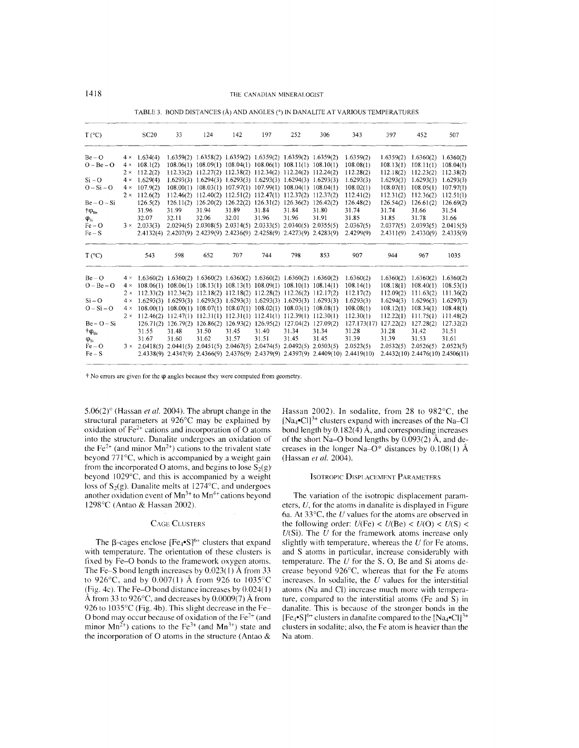| $T (^{\circ}C)$    |            | <b>SC20</b>                                                                                  | 33                                                                    | 124   | 142   | 197   | 252                                                         | 306   | 343                                                                               | 397       | 452                              | 507       |
|--------------------|------------|----------------------------------------------------------------------------------------------|-----------------------------------------------------------------------|-------|-------|-------|-------------------------------------------------------------|-------|-----------------------------------------------------------------------------------|-----------|----------------------------------|-----------|
| $Be - O$           | $4 \times$ | 1.634(4)                                                                                     |                                                                       |       |       |       | 1.6359(2) 1.6358(2) 1.6359(2) 1.6359(2) 1.6359(2) 1.6359(2) |       | 1.6359(2)                                                                         | 1.6359(2) | 1.6360(2)                        | 1.6360(2) |
| $O - Be - O$       | $4 \times$ | 108.1(2)                                                                                     |                                                                       |       |       |       | 108.06(1) 108.09(1) 108.04(1) 108.06(1) 108.11(1) 108.10(1) |       | 108.08(1)                                                                         | 108.13(1) | 108.11(1)                        | 108.04(1) |
|                    |            | $2 \times 112.2(2)$                                                                          |                                                                       |       |       |       | 112.33(2) 112.27(2) 112.38(2) 112.34(2) 112.24(2) 112.24(2) |       | 112.28(2)                                                                         | 112.18(2) | 112.23(2)                        | 112.38(2) |
| $Si - O$           |            | $4 \times 1.629(4)$                                                                          |                                                                       |       |       |       | 1.6293(3) 1.6294(3) 1.6293(3) 1.6293(3) 1.6294(3) 1.6293(3) |       | 1.6293(3)                                                                         | 1.6293(3) | 1.6293(3)                        | 1.6293(3) |
| $O-Si-O$           | $4 \times$ | 107.9(2)                                                                                     |                                                                       |       |       |       | 108.00(1) 108.03(1) 107.97(1) 107.99(1) 108.04(1) 108.04(1) |       | 108.02(1)                                                                         | 108.07(1) | 108.05(1)                        | 107.97(1) |
|                    | $2 \times$ | 112.6(2)                                                                                     |                                                                       |       |       |       | 112.46(2) 112.40(2) 112.51(2) 112.47(1) 112.37(2) 112.37(2) |       | 112.41(2)                                                                         | 112.31(2) | 112.36(2)                        | 112.51(1) |
| $Be - O - Si$      |            | 126.5(2)                                                                                     |                                                                       |       |       |       | 126.11(2) 126.20(2) 126.22(2) 126.31(2) 126.36(2) 126.42(2) |       | 126.48(2)                                                                         | 126.54(2) | 126.61(2)                        | 126.69(2) |
| $\phi_{\text{Be}}$ |            | 31.96                                                                                        | 31.99                                                                 | 31.94 | 31.89 | 31.84 | 31.84                                                       | 31.80 | 31.74                                                                             | 31.74     | 31.66                            | 31.54     |
| $\phi_{si}$        |            | 32.07                                                                                        | 32.11                                                                 | 32.06 | 32.01 | 31.96 | 31.96                                                       | 31.91 | 31.85                                                                             | 31.85     | 31.78                            | 31.66     |
| $Fe-O$             |            | $3 \times 2.033(3)$                                                                          |                                                                       |       |       |       | 2.0294(5) 2.0308(5) 2.0314(5) 2.0333(5) 2.0340(5) 2.0355(5) |       | 2.0367(5)                                                                         | 2.0377(5) | 2.0393(5)                        | 2.0415(5) |
| $Fe-S$             |            |                                                                                              | 2.4132(4) 2.4207(9) 2.4239(9) 2.4236(9) 2.4258(9) 2.4273(9) 2.4283(9) |       |       |       |                                                             |       | 2.4299(9)                                                                         | 2.4311(9) | 2.4330(9)                        | 2.4335(9) |
| $T (^{\circ}C)$    |            | 543                                                                                          | 598                                                                   | 652   | 707   | 744   | 798                                                         | 853   | 907                                                                               | 944       | 967                              | 1035      |
| $Be - O$           |            | $4 \times 1.6360(2)$ $1.6360(2)$ $1.6360(2)$ $1.6360(2)$ $1.6360(2)$ $1.6360(2)$ $1.6360(2)$ |                                                                       |       |       |       |                                                             |       | 1.6360(2)                                                                         | 1.6360(2) | 1.6360(2)                        | 1.6360(2) |
| $O - Be - O$       |            | $4 \times 108.06(1)$ 108.06(1) 108.13(1) 108.13(1) 108.09(1) 108.10(1) 108.14(1)             |                                                                       |       |       |       |                                                             |       | 108.14(1)                                                                         | 108.18(1) | 108.40(1)                        | 108.53(1) |
|                    |            | $2 \times 112.33(2)$ 112.34(2) 112.18(2) 112.18(2) 112.28(2) 112.26(2) 112.17(2)             |                                                                       |       |       |       |                                                             |       | 112.17(2)                                                                         | 112.09(2) | 111.63(2)                        | 111.36(2) |
| $Si - O$           | $4 \times$ | $1.6293(3)$ $1.6293(3)$ $1.6293(3)$ $1.6293(3)$ $1.6293(3)$ $1.6293(3)$ $1.6293(3)$          |                                                                       |       |       |       |                                                             |       | 1.6293(3)                                                                         | 1.6294(3) | 1.6296(3)                        | 1.6297(3) |
| $O-Si-O$           | $4 \times$ |                                                                                              | 108.00(1) 108.00(1) 108.07(1) 108.07(1) 108.02(1) 108.03(1) 108.08(1) |       |       |       |                                                             |       | 108.08(1)                                                                         | 108.12(1) | 108.34(1)                        | 108.48(1) |
|                    |            | $2 \times 112.46(2)$ 112.47(1) 112.31(1) 112.31(1) 112.41(1) 112.39(1) 112.30(1)             |                                                                       |       |       |       |                                                             |       | 112.30(1)                                                                         | 112.22(1) | 111.75(1)                        | 111.48(2) |
| $Be - O - Si$      |            |                                                                                              | 126.71(2) 126.79(2) 126.86(2) 126.93(2) 126.95(2) 127.04(2) 127.09(2) |       |       |       |                                                             |       | 127.173(17)                                                                       | 127.22(2) | 127.28(2)                        | 127.32(2) |
| $+\phi_{\rm Be}$   |            | 31.55                                                                                        | 31.48                                                                 | 31.50 | 31.45 | 31.40 | 31.34                                                       | 31.34 | 31.28                                                                             | 31.28     | 31.42                            | 31.51     |
| $\varphi_{\rm Si}$ |            | 31.67                                                                                        | 31.60                                                                 | 31.62 | 31.57 | 31.51 | 31.45                                                       | 31.45 | 31.39                                                                             | 31.39     | 31.53                            | 31.61     |
| $Fe-O$             |            | $3 \times 2.0418(5)$ $2.0441(5)$ $2.0451(5)$ $2.0467(5)$ $2.0474(5)$ $2.0492(5)$ $2.0503(5)$ |                                                                       |       |       |       |                                                             |       | 2.0523(5)                                                                         | 2.0532(5) | 2.0526(5)                        | 2.0523(5) |
| $Fe-S$             |            |                                                                                              |                                                                       |       |       |       |                                                             |       | 2.4338(9) 2.4347(9) 2.4366(9) 2.4376(9) 2.4379(9) 2.4397(9) 2.4409(10) 2.4419(10) |           | 2.4432(10) 2.4476(10) 2.4506(11) |           |

TABLE 3. BOND DISTANCES (Å) AND ANGLES (°) IN DANALITE AT VARIOUS TEMPERATURES

 $t$  No errors are given for the  $\varphi$  angles because they were computed from geometry.

5.06(2)° (Hassan *et al.* 2004). The abrupt change in the structural parameters at 926°C may be explained by oxidation of  $Fe<sup>2+</sup>$  cations and incorporation of O atoms into the structure. Danalite undergoes an oxidation of the Fe<sup>2+</sup> (and minor  $Mn^{2+}$ ) cations to the trivalent state beyond 771°C, which is accompanied by a weight gain from the incorporated O atoms, and begins to lose  $S_2(g)$ beyond 1029°C, and this is accompanied by a weight loss of  $S_2(g)$ . Danalite melts at 1274°C, and undergoes another oxidation event of  $Mn^{3+}$  to  $Mn^{4+}$  cations beyond 1298°C (Antao & Hassan 2002).

#### CAGE CLUSTERS

The  $\beta$ -cages enclose  $[Fe_{4} \cdot S]^{6+}$  clusters that expand with temperature. The orientation of these clusters is fixed by Fe-O bonds to the framework oxygen atoms. The Fe-S bond length increases by  $0.023(1)$  Å from 33 to 926°C, and by 0.007(1) A from 926 to 1035°C (Fig. 4c). The Fe-O bond distance increases by  $0.024(1)$ Å from 33 to 926 $\degree$ C, and decreases by 0.0009(7) Å from 926 to 1035°C (Fig. 4b). This slight decrease in the Fe-O bond may occur because of oxidation of the  $Fe<sup>2+</sup>$  (and minor  $Mn^{2+}$ ) cations to the Fe<sup>3+</sup> (and  $Mn^{3+}$ ) state and the incorporation of 0 atoms in the structure (Antao &

Hassan 2002). In sodalite, from 28 to 982°C, the  $[Na<sub>4</sub>•Cl]<sup>3+</sup>$  clusters expand with increases of the Na–Cl bond length by  $0.182(4)$  Å, and corresponding increases of the short Na–O bond lengths by  $0.093(2)$   $\AA$ , and decreases in the longer Na–O\* distances by  $0.108(1)$  Å (Hassan *et al. 2(04).*

## ISOTROPIC DISPLACEMENT PARAMETERS

The variation of the isotropic displacement parameters, *U,* for the atoms in danalite is displayed in Figure 6a. At 33°C, the *U* values for the atoms are observed in the following order:  $U(Fe) < U(Be) < U(O) < U(S)$ *U(Si).* The *U* for the framework atoms increase only slightly with temperature, whereas the  $U$  for Fe atoms, and S atoms in particular, increase considerably with temperature. The *U* for the S, 0, Be and Si atoms decrease beyond 926°C, whereas that for the Fe atoms increases. In sodalite, the *U* values for the interstitial atoms (Na and CI) increase much more with temperature, compared to the interstitial atoms (Fe and S) in danalite. This is because of the stronger bonds in the  $[Fe_{4} \cdot S]^{6+}$  clusters in danalite compared to the  $[Na_{4} \cdot Cl]^{3+}$ clusters in sodalite; also, the Fe atom is heavier than the Na atom.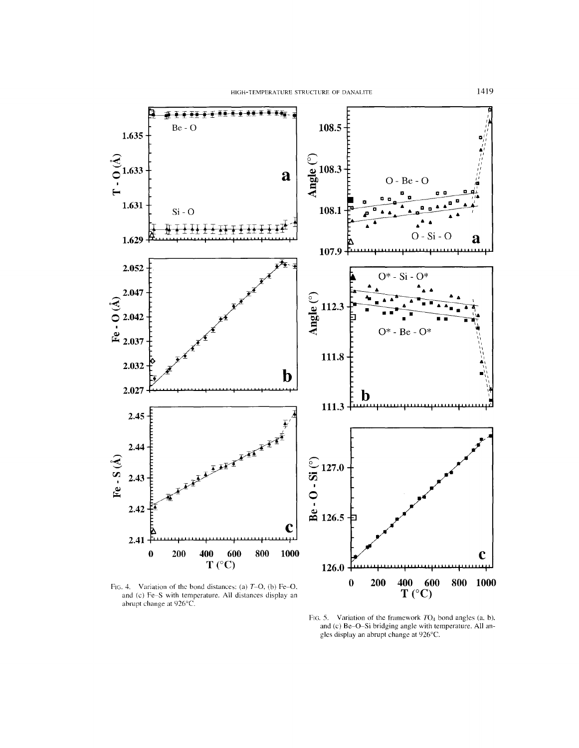

Fig. 4. Variation of the bond distances: (a)  $T=O$ , (b) Fe-O, and (c) Fe-S with temperature. All distances display an abrupt change at 926°C.

FIG. 5. Variation of the framework  $TO<sub>4</sub>$  bond angles (a, b), and (c) Be-O-Si bridging angle with temperature. All angles display an abrupt change at 926°C.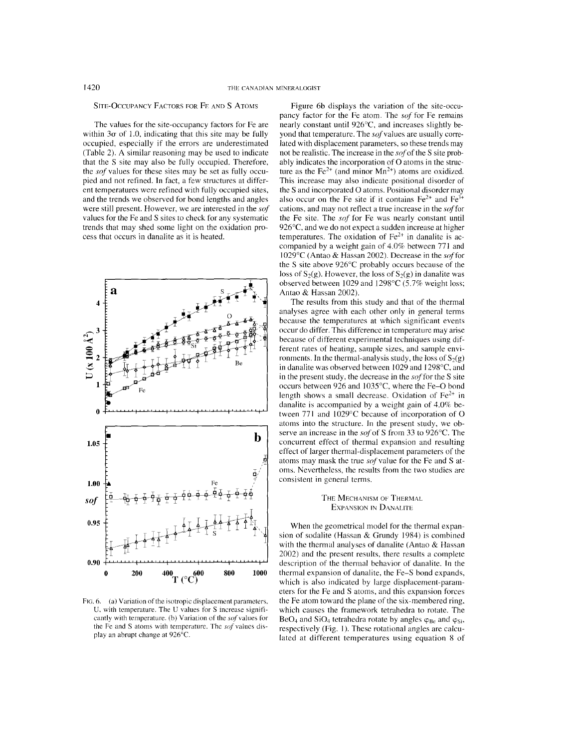## SITE-OCCUPANCY FACTORS FOR FE AND S ATOMS

The values for the site-occupancy factors for Fe are within  $3\sigma$  of 1.0, indicating that this site may be fully occupied, especially if the errors are underestimated (Table 2). A similar reasoning may be used to indicate that the S site may also be fully occupied. Therefore, the *sof* values for these sites may be set as fully occupied and not refined. In fact, a few structures at different temperatures were refined with fully occupied sites, and the trends we observed for bond lengths and angles were still present. However, we are interested in the *sof* values for the Fe and S sites to check for any systematic trends that may shed some light on the oxidation process that occurs in danalite as it is heated.



FIG. 6. (a) Variation of the isotropic displacement parameters, U. with temperature. The U values for S increase significantly with temperature. (b) Variation of the sof values for the Fe and S atoms with temperature. The *sof* values display an abrupt change at 926°C.

Figure 6b displays the variation of the site-occupancy factor for the Fe atom. The *sof* for Fe remains nearly constant until 926°C, and increases slightly beyond that temperature. The sof values are usually correlated with displacement parameters, so these trends may not be realistic. The increase in the *sof* of the S site probably indicates the incorporation of 0 atoms in the structure as the Fe<sup>2+</sup> (and minor  $Mn^{2+}$ ) atoms are oxidized. This increase may also indicate positional disorder of the S and incorporated 0 atoms. Positional disorder may also occur on the Fe site if it contains  $Fe^{2+}$  and  $Fe^{3+}$ cations, and may not reflect a true increase in the *soffor* the Fe site. The *sof* for Fe was nearly constant until 926°C, and we do not expect a sudden increase at higher temperatures. The oxidation of  $Fe<sup>2+</sup>$  in danalite is accompanied by a weight gain of 4.0% between 77J and 1029°c (Antao & Hassan 2002). Decrease in the *soffor* the S site above 926°C probably occurs because of the loss of  $S_2(g)$ . However, the loss of  $S_2(g)$  in danalite was observed between 1029 and 1298°c (5.7% weight loss; Antao & Hassan 2002).

The results from this study and that of the thermal analyses agree with each other only in general terms because the temperatures at which significant events occur do differ. This difference in temperature may arise because of different experimental techniques using different rates of heating, sample sizes, and sample environments. In the thermal-analysis study, the loss of  $S_2(g)$ in danalite was observed between 1029 and I 298°C, and in the present study, the decrease in the *soffor* the S site occurs between 926 and 1035°c, where the Fe-O bond length shows a small decrease. Oxidation of  $Fe<sup>2+</sup>$  in danalite is accompanied by a weight gain of 4.0% between 771 and 1029°C because of incorporation of O atoms into the structure. In the present study, we observe an increase in the *sofof* S from 33 to 926°C. The concurrent effect of thermal expansion and resulting effect of larger thermal-displacement parameters of the atoms may mask the true *sofvalue* for the Fe and S atoms. Nevertheless, the results from the two studies are consistent in general terms.

## THE MECHANISM OF THERMAL EXPANSION IN DANALITE

When the geometrical model for the thermal expansion of sodalite (Hassan & Grundy 1984) is combined with the thermal analyses of danalite (Antao & Hassan 2002) and the present results, there results a complete description of the thermal behavior of danalite. In the thermal expansion of danalite, the Fe-S bond expands, which is also indicated by large displacement-parameters for the Fe and S atoms, and this expansion forces the Fe atom toward the plane of the six-membered ring, which causes the framework tetrahedra to rotate. The BeO<sub>4</sub> and SiO<sub>4</sub> tetrahedra rotate by angles  $\varphi_{\text{Be}}$  and  $\varphi_{\text{Si}}$ , respectively (Fig. I). These rotational angles are calculated at different temperatures using equation 8 of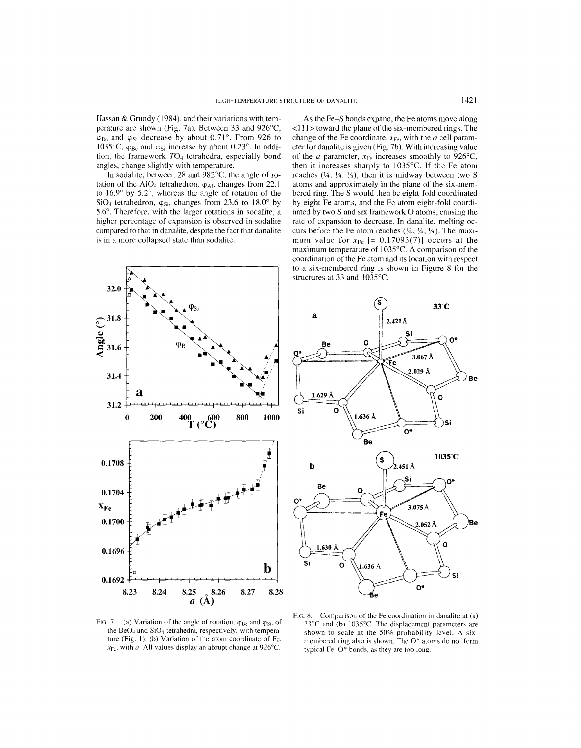Hassan & Grundy (1984), and their variations with temperature are shown (Fig. 7a). Between 33 and 926°C,  $\varphi_{\text{Be}}$  and  $\varphi_{\text{Si}}$  decrease by about 0.71°. From 926 to 1035°C,  $\varphi_{Be}$  and  $\varphi_{Si}$  increase by about 0.23°. In addition, the framework *T04* tetrahedra, especially bond angles, change slightly with temperature.

**In** sodalite, between 28 and 982°C, the angle of rotation of the AlO<sub>4</sub> tetrahedron,  $\varphi_{Al}$ , changes from 22.1 to 16.9° by 5.2°, whereas the angle of rotation of the  $SiO<sub>4</sub>$  tetrahedron,  $\varphi_{Si}$ , changes from 23.6 to 18.0° by 5.6°. Therefore, with the larger rotations in sodalite, a higher percentage of expansion is observed in sodalite compared to that in danalite, despite the fact that danalite is in a more collapsed state than sodalite.

As the Fe-S bonds expand, the Fe atoms move along  $\langle 111 \rangle$  toward the plane of the six-membered rings. The change of the Fe coordinate,  $x_{\text{Fe}}$ , with the *a* cell parameter for danalite is given (Fig. 7b). With increasing value of the *a* parameter,  $x_{Fe}$  increases smoothly to 926°C, then it increases sharply to 1035°C. If the Fe atom reaches  $(\frac{1}{4}, \frac{1}{4}, \frac{1}{4})$ , then it is midway between two S atoms and approximately in the plane of the six-membered ring. The S would then be eight-fold coordinated by eight Fe atoms, and the Fe atom eight-fold coordinated by two S and six framework 0 atoms, causing the rate of expansion to decrease. **In** danalite, melting occurs before the Fe atom reaches  $(14, 14, 14)$ . The maximum value for  $x_{Fe}$  [= 0.17093(7)] occurs at the maximum temperature of 1035°C. A comparison of the coordination of the Fe atom and its location with respect to a six-membered ring is shown in Figure 8 for the structures at 33 and I035°C.





FIG. 7. (a) Variation of the angle of rotation,  $\varphi_{Be}$  and  $\varphi_{Si}$ , of the  $BeO<sub>4</sub>$  and  $SiO<sub>4</sub>$  tetrahedra, respectively, with temperature (Fig. 1). (b) Variation of the atom coordinate of Fe,  $x_{Fe}$ , with *a*. All values display an abrupt change at 926°C.

FIG. 8. Comparison of the Fe coordination in danalite at (a) 33°C and (b) 1035°C. The displacement parameters are shown to scale at Ihe 50% probability level. A sixmembered ring also is shown. The 0\* atoms do not form typical Fe-O\* bonds, as they are too long.